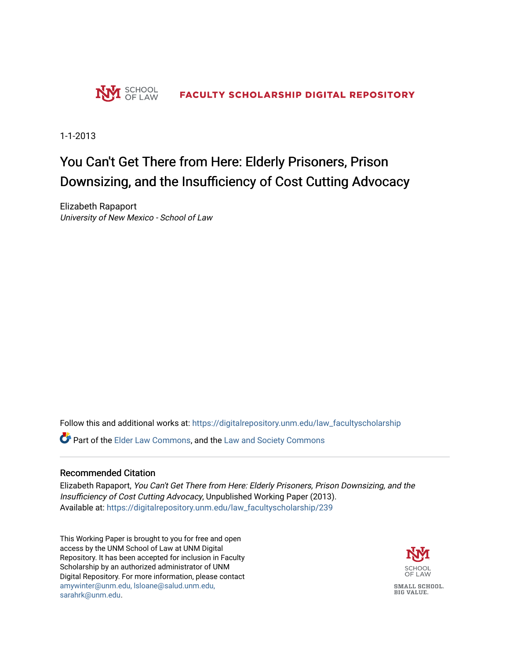

1-1-2013

# You Can't Get There from Here: Elderly Prisoners, Prison Downsizing, and the Insufficiency of Cost Cutting Advocacy

Elizabeth Rapaport University of New Mexico - School of Law

Follow this and additional works at: [https://digitalrepository.unm.edu/law\\_facultyscholarship](https://digitalrepository.unm.edu/law_facultyscholarship?utm_source=digitalrepository.unm.edu%2Flaw_facultyscholarship%2F239&utm_medium=PDF&utm_campaign=PDFCoverPages) 

**P** Part of the [Elder Law Commons](http://network.bepress.com/hgg/discipline/842?utm_source=digitalrepository.unm.edu%2Flaw_facultyscholarship%2F239&utm_medium=PDF&utm_campaign=PDFCoverPages), and the [Law and Society Commons](http://network.bepress.com/hgg/discipline/853?utm_source=digitalrepository.unm.edu%2Flaw_facultyscholarship%2F239&utm_medium=PDF&utm_campaign=PDFCoverPages)

#### Recommended Citation

Elizabeth Rapaport, You Can't Get There from Here: Elderly Prisoners, Prison Downsizing, and the Insufficiency of Cost Cutting Advocacy, Unpublished Working Paper (2013). Available at: [https://digitalrepository.unm.edu/law\\_facultyscholarship/239](https://digitalrepository.unm.edu/law_facultyscholarship/239?utm_source=digitalrepository.unm.edu%2Flaw_facultyscholarship%2F239&utm_medium=PDF&utm_campaign=PDFCoverPages) 

This Working Paper is brought to you for free and open access by the UNM School of Law at UNM Digital Repository. It has been accepted for inclusion in Faculty Scholarship by an authorized administrator of UNM Digital Repository. For more information, please contact [amywinter@unm.edu, lsloane@salud.unm.edu,](mailto:amywinter@unm.edu,%20lsloane@salud.unm.edu,%20sarahrk@unm.edu)  [sarahrk@unm.edu.](mailto:amywinter@unm.edu,%20lsloane@salud.unm.edu,%20sarahrk@unm.edu)

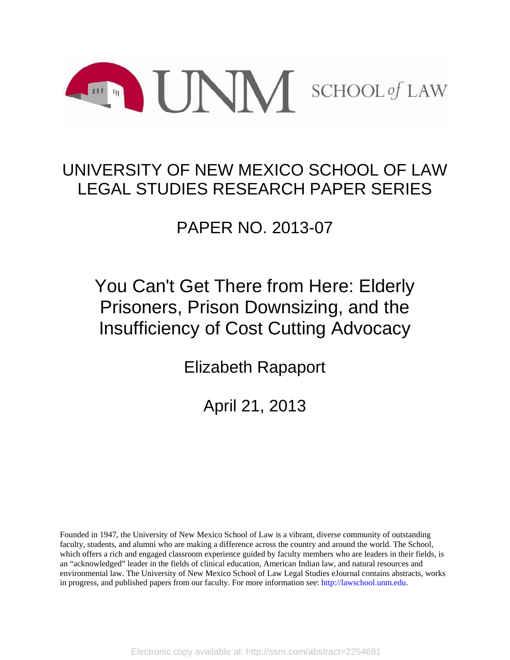

# UNIVERSITY OF NEW MEXICO SCHOOL OF LAW LEGAL STUDIES RESEARCH PAPER SERIES

# PAPER NO. 2013-07

# You Can't Get There from Here: Elderly Prisoners, Prison Downsizing, and the Insufficiency of Cost Cutting Advocacy

Elizabeth Rapaport

April 21, 2013

Founded in 1947, the University of New Mexico School of Law is a vibrant, diverse community of outstanding faculty, students, and alumni who are making a difference across the country and around the world. The School, which offers a rich and engaged classroom experience guided by faculty members who are leaders in their fields, is an "acknowledged" leader in the fields of clinical education, American Indian law, and natural resources and environmental law. The University of New Mexico School of Law Legal Studies eJournal contains abstracts, works in progress, and published papers from our faculty. For more information see: http://lawschool.unm.edu.

Electronic copy available at: http://ssrn.com/abstract=2254691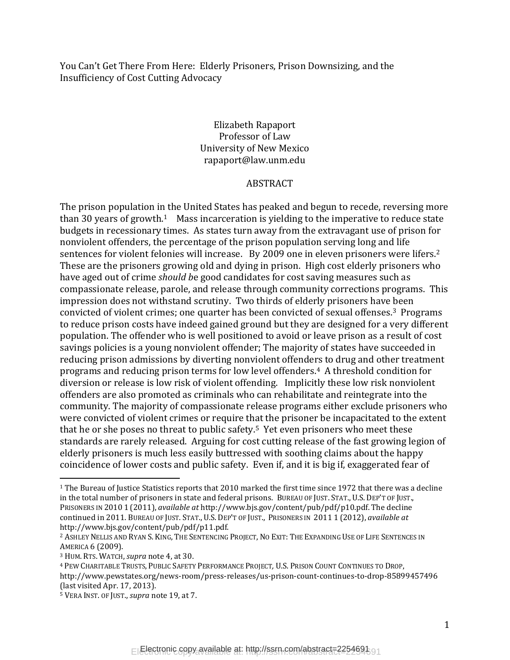You Can't Get There From Here: Elderly Prisoners, Prison Downsizing, and the Insufficiency of Cost Cutting Advocacy

### Elizabeth Rapaport Professor of Law University of New Mexico rapaport@law.unm.edu

#### ABSTRACT

The prison population in the United States has peaked and begun to recede, reversing more than 30 years of growth.<sup>1</sup> Mass incarceration is yielding to the imperative to reduce state budgets in recessionary times. As states turn away from the extravagant use of prison for nonviolent offenders, the percentage of the prison population serving long and life sentences for violent felonies will increase. By 2009 one in eleven prisoners were lifers.<sup>2</sup> These are the prisoners growing old and dying in prison. High cost elderly prisoners who have aged out of crime *should b*e good candidates for cost saving measures such as compassionate release, parole, and release through community corrections programs. This impression does not withstand scrutiny. Two thirds of elderly prisoners have been convicted of violent crimes; one quarter has been convicted of sexual offenses.3 Programs to reduce prison costs have indeed gained ground but they are designed for a very different population. The offender who is well positioned to avoid or leave prison as a result of cost savings policies is a young nonviolent offender; The majority of states have succeeded in reducing prison admissions by diverting nonviolent offenders to drug and other treatment programs and reducing prison terms for low level offenders.4 A threshold condition for diversion or release is low risk of violent offending. Implicitly these low risk nonviolent offenders are also promoted as criminals who can rehabilitate and reintegrate into the community. The majority of compassionate release programs either exclude prisoners who were convicted of violent crimes or require that the prisoner be incapacitated to the extent that he or she poses no threat to public safety.5 Yet even prisoners who meet these standards are rarely released. Arguing for cost cutting release of the fast growing legion of elderly prisoners is much less easily buttressed with soothing claims about the happy coincidence of lower costs and public safety. Even if, and it is big if, exaggerated fear of

l

<sup>1</sup> The Bureau of Justice Statistics reports that 2010 marked the first time since 1972 that there was a decline in the total number of prisoners in state and federal prisons. BUREAU OF JUST. STAT., U.S. DEP'T OF JUST., PRISONERS IN 2010 1 (2011), *available at* http://www.bjs.gov/content/pub/pdf/p10.pdf. The decline continued in 2011. BUREAU OF JUST. STAT., U.S. DEP'T OF JUST., PRISONERS IN 2011 1 (2012), *available at*  http://www.bjs.gov/content/pub/pdf/p11.pdf.

<sup>&</sup>lt;sup>2</sup> ASHLEY NELLIS AND RYAN S. KING, THE SENTENCING PROJECT, NO EXIT: THE EXPANDING USE OF LIFE SENTENCES IN AMERICA 6 (2009).

<sup>3</sup> HUM. RTS. WATCH, *supra* note 4, at 30.

<sup>4</sup> PEW CHARITABLE TRUSTS, PUBLIC SAFETY PERFORMANCE PROJECT*,* U.S. PRISON COUNT CONTINUES TO DROP, http://www.pewstates.org/news-room/press-releases/us-prison-count-continues-to-drop-85899457496 (last visited Apr. 17, 2013).

<sup>5</sup> VERA INST. OF JUST., *supra* note 19, at 7.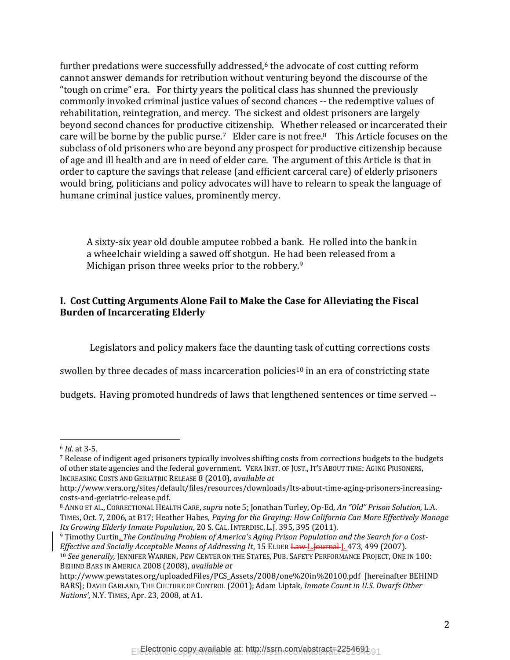further predations were successfully addressed,<sup>6</sup> the advocate of cost cutting reform cannot answer demands for retribution without venturing beyond the discourse of the "tough on crime" era. For thirty years the political class has shunned the previously commonly invoked criminal justice values of second chances -- the redemptive values of rehabilitation, reintegration, and mercy. The sickest and oldest prisoners are largely beyond second chances for productive citizenship. Whether released or incarcerated their care will be borne by the public purse.<sup>7</sup> Elder care is not free.<sup>8</sup> This Article focuses on the subclass of old prisoners who are beyond any prospect for productive citizenship because of age and ill health and are in need of elder care. The argument of this Article is that in order to capture the savings that release (and efficient carceral care) of elderly prisoners would bring, politicians and policy advocates will have to relearn to speak the language of humane criminal justice values, prominently mercy.

A sixty-six year old double amputee robbed a bank. He rolled into the bank in a wheelchair wielding a sawed off shotgun. He had been released from a Michigan prison three weeks prior to the robbery.<sup>9</sup>

## **I. Cost Cutting Arguments Alone Fail to Make the Case for Alleviating the Fiscal Burden of Incarcerating Elderly**

Legislators and policy makers face the daunting task of cutting corrections costs

swollen by three decades of mass incarceration policies<sup>10</sup> in an era of constricting state

budgets. Having promoted hundreds of laws that lengthened sentences or time served --

<sup>6</sup> *Id*. at 3-5.

<sup>7</sup> Release of indigent aged prisoners typically involves shifting costs from corrections budgets to the budgets of other state agencies and the federal government. VERA INST. OF JUST., IT'S ABOUT TIME: AGING PRISONERS, INCREASING COSTS AND GERIATRIC RELEASE 8 (2010), *available at*

http://www.vera.org/sites/default/files/resources/downloads/Its-about-time-aging-prisoners-increasingcosts-and-geriatric-release.pdf.

<sup>8</sup> ANNO ET AL., CORRECTIONAL HEALTH CARE,*supra* note 5; Jonathan Turley, Op-Ed, *An "Old" Prison Solution,* L.A. TIMES, Oct. 7, 2006, at B17; Heather Habes, *Paying for the Graying: How California Can More Effectively Manage Its Growing Elderly Inmate Population*, 20 S. CAL. INTERDISC. L.J. 395, 395 (2011).

<sup>9</sup> Timothy Curtin, *The Continuing Problem of America's Aging Prison Population and the Search for a Cost-Effective and Socially Acceptable Means of Addressing It*, 15 ELDER Law L.Journal J. 473, 499 (2007).

<sup>10</sup> *See generally,* JENNIFER WARREN, PEW CENTER ON THE STATES, PUB. SAFETY PERFORMANCE PROJECT, ONE IN 100: BEHIND BARS IN AMERICA 2008 (2008), *available at* 

http://www.pewstates.org/uploadedFiles/PCS\_Assets/2008/one%20in%20100.pdf [hereinafter BEHIND BARS]; DAVID GARLAND, THE CULTURE OF CONTROL (2001);Adam Liptak, *Inmate Count in U.S. Dwarfs Other Nations'*, N.Y. TIMES, Apr. 23, 2008, at A1.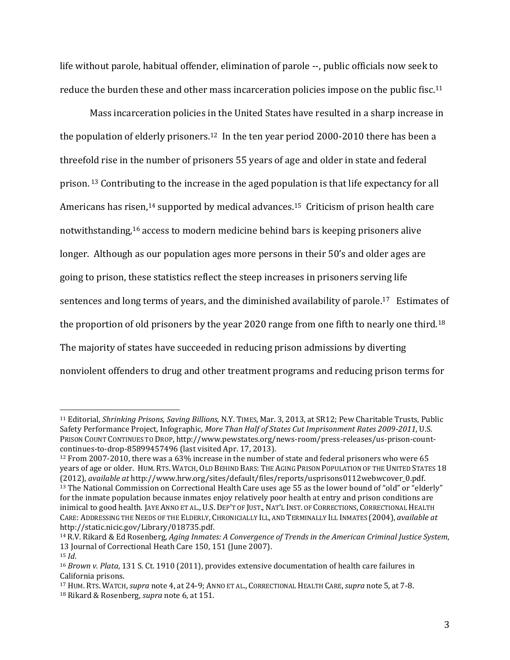life without parole, habitual offender, elimination of parole --, public officials now seek to reduce the burden these and other mass incarceration policies impose on the public fisc.<sup>11</sup>

Mass incarceration policies in the United States have resulted in a sharp increase in the population of elderly prisoners.12 In the ten year period 2000-2010 there has been a threefold rise in the number of prisoners 55 years of age and older in state and federal prison. <sup>13</sup> Contributing to the increase in the aged population is that life expectancy for all Americans has risen,<sup>14</sup> supported by medical advances.<sup>15</sup> Criticism of prison health care notwithstanding,<sup>16</sup> access to modern medicine behind bars is keeping prisoners alive longer. Although as our population ages more persons in their 50's and older ages are going to prison, these statistics reflect the steep increases in prisoners serving life sentences and long terms of years, and the diminished availability of parole.<sup>17</sup> Estimates of the proportion of old prisoners by the year 2020 range from one fifth to nearly one third.<sup>18</sup> The majority of states have succeeded in reducing prison admissions by diverting nonviolent offenders to drug and other treatment programs and reducing prison terms for

<sup>11</sup> Editorial, *Shrinking Prisons, Saving Billions*, N.Y. TIMES, Mar. 3, 2013, at SR12; Pew Charitable Trusts, Public Safety Performance Project*,* Infographic, *More Than Half of States Cut Imprisonment Rates 2009-2011*, U.S. PRISON COUNT CONTINUES TO DROP, http://www.pewstates.org/news-room/press-releases/us-prison-countcontinues-to-drop-85899457496 (last visited Apr. 17, 2013).

<sup>12</sup> From 2007-2010, there was a 63% increase in the number of state and federal prisoners who were 65 years of age or older. HUM. RTS. WATCH, OLD BEHIND BARS: THE AGING PRISON POPULATION OF THE UNITED STATES 18 (2012), *available at* http://www.hrw.org/sites/default/files/reports/usprisons0112webwcover\_0.pdf. <sup>13</sup> The National Commission on Correctional Health Care uses age 55 as the lower bound of "old" or "elderly" for the inmate population because inmates enjoy relatively poor health at entry and prison conditions are inimical to good health. JAYE ANNO ET AL., U.S. DEP'T OF JUST., NAT'L INST. OF CORRECTIONS, CORRECTIONAL HEALTH CARE: ADDRESSING THE NEEDS OF THE ELDERLY, CHRONICIALLY ILL, AND TERMINALLY ILL INMATES (2004), *available at* http://static.nicic.gov/Library/018735.pdf.

<sup>14</sup> R.V. Rikard & Ed Rosenberg, *Aging Inmates: A Convergence of Trends in the American Criminal Justice System*, 13 Journal of Correctional Heath Care 150, 151 (June 2007). <sup>15</sup> *Id*.

<sup>16</sup> *Brown v. Plata*, 131 S. Ct. 1910 (2011), provides extensive documentation of health care failures in California prisons.

<sup>17</sup> HUM. RTS. WATCH, *supra* note 4, at 24-9; ANNO ET AL., CORRECTIONAL HEALTH CARE,*supra* note 5, at 7-8. <sup>18</sup> Rikard & Rosenberg, *supra* note 6, at 151.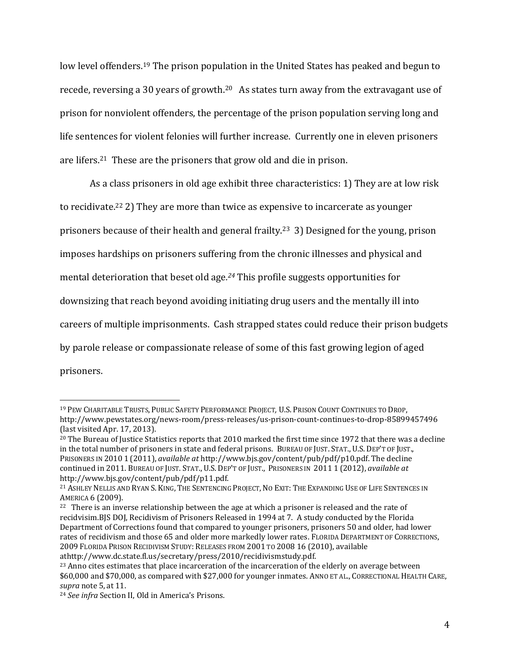low level offenders.<sup>19</sup> The prison population in the United States has peaked and begun to recede, reversing a 30 years of growth.<sup>20</sup> As states turn away from the extravagant use of prison for nonviolent offenders, the percentage of the prison population serving long and life sentences for violent felonies will further increase. Currently one in eleven prisoners are lifers.21 These are the prisoners that grow old and die in prison.

As a class prisoners in old age exhibit three characteristics: 1) They are at low risk to recidivate.<sup>22</sup> 2) They are more than twice as expensive to incarcerate as younger prisoners because of their health and general frailty.23 3) Designed for the young, prison imposes hardships on prisoners suffering from the chronic illnesses and physical and mental deterioration that beset old age*. <sup>24</sup>* This profile suggests opportunities for downsizing that reach beyond avoiding initiating drug users and the mentally ill into careers of multiple imprisonments. Cash strapped states could reduce their prison budgets by parole release or compassionate release of some of this fast growing legion of aged prisoners.

l

<sup>19</sup> PEW CHARITABLE TRUSTS, PUBLIC SAFETY PERFORMANCE PROJECT*,* U.S. PRISON COUNT CONTINUES TO DROP, http://www.pewstates.org/news-room/press-releases/us-prison-count-continues-to-drop-85899457496 (last visited Apr. 17, 2013).

<sup>&</sup>lt;sup>20</sup> The Bureau of Justice Statistics reports that 2010 marked the first time since 1972 that there was a decline in the total number of prisoners in state and federal prisons. BUREAU OF JUST. STAT., U.S. DEP'T OF JUST., PRISONERS IN 2010 1 (2011), *available at* http://www.bjs.gov/content/pub/pdf/p10.pdf. The decline continued in 2011. BUREAU OF JUST. STAT., U.S. DEP'T OF JUST., PRISONERS IN 2011 1 (2012), *available at*  http://www.bjs.gov/content/pub/pdf/p11.pdf.

<sup>21</sup> ASHLEY NELLIS AND RYAN S. KING, THE SENTENCING PROJECT, NO EXIT: THE EXPANDING USE OF LIFE SENTENCES IN AMERICA 6 (2009).

<sup>&</sup>lt;sup>22</sup> There is an inverse relationship between the age at which a prisoner is released and the rate of recidvisim.BJS DOJ, Recidivism of Prisoners Released in 1994 at 7. A study conducted by the Florida Department of Corrections found that compared to younger prisoners, prisoners 50 and older, had lower rates of recidivism and those 65 and older more markedly lower rates. FLORIDA DEPARTMENT OF CORRECTIONS, 2009 FLORIDA PRISON RECIDIVISM STUDY: RELEASES FROM 2001 TO 2008 16 (2010), available athttp://www.dc.state.fl.us/secretary/press/2010/recidivismstudy.pdf.

<sup>&</sup>lt;sup>23</sup> Anno cites estimates that place incarceration of the incarceration of the elderly on average between \$60,000 and \$70,000, as compared with \$27,000 for younger inmates. ANNO ET AL., CORRECTIONAL HEALTH CARE, *supra* note 5, at 11.

<sup>24</sup> *See infra* Section II, Old in America's Prisons.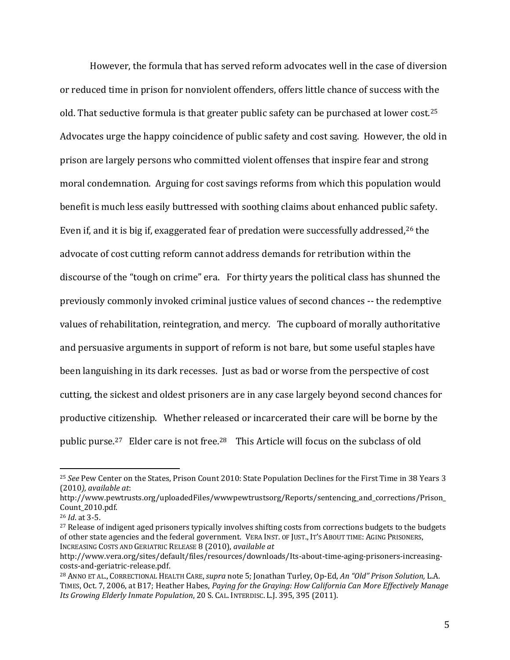However, the formula that has served reform advocates well in the case of diversion or reduced time in prison for nonviolent offenders, offers little chance of success with the old. That seductive formula is that greater public safety can be purchased at lower cost.<sup>25</sup> Advocates urge the happy coincidence of public safety and cost saving. However, the old in prison are largely persons who committed violent offenses that inspire fear and strong moral condemnation. Arguing for cost savings reforms from which this population would benefit is much less easily buttressed with soothing claims about enhanced public safety. Even if, and it is big if, exaggerated fear of predation were successfully addressed,<sup>26</sup> the advocate of cost cutting reform cannot address demands for retribution within the discourse of the "tough on crime" era. For thirty years the political class has shunned the previously commonly invoked criminal justice values of second chances -- the redemptive values of rehabilitation, reintegration, and mercy. The cupboard of morally authoritative and persuasive arguments in support of reform is not bare, but some useful staples have been languishing in its dark recesses. Just as bad or worse from the perspective of cost cutting, the sickest and oldest prisoners are in any case largely beyond second chances for productive citizenship. Whether released or incarcerated their care will be borne by the public purse.27 Elder care is not free.28 This Article will focus on the subclass of old

l

<sup>25</sup> *See* Pew Center on the States, Prison Count 2010: State Population Declines for the First Time in 38 Years 3 (2010*), available at*:

http://www.pewtrusts.org/uploadedFiles/wwwpewtrustsorg/Reports/sentencing\_and\_corrections/Prison\_ Count\_2010.pdf.

<sup>26</sup> *Id*. at 3-5.

<sup>&</sup>lt;sup>27</sup> Release of indigent aged prisoners typically involves shifting costs from corrections budgets to the budgets of other state agencies and the federal government. VERA INST. OF JUST., IT'S ABOUT TIME: AGING PRISONERS, INCREASING COSTS AND GERIATRIC RELEASE 8 (2010), *available at*

http://www.vera.org/sites/default/files/resources/downloads/Its-about-time-aging-prisoners-increasingcosts-and-geriatric-release.pdf.

<sup>28</sup> ANNO ET AL., CORRECTIONAL HEALTH CARE,*supra* note 5; Jonathan Turley, Op-Ed, *An "Old" Prison Solution,* L.A. TIMES, Oct. 7, 2006, at B17; Heather Habes, *Paying for the Graying: How California Can More Effectively Manage Its Growing Elderly Inmate Population*, 20 S. CAL. INTERDISC. L.J. 395, 395 (2011).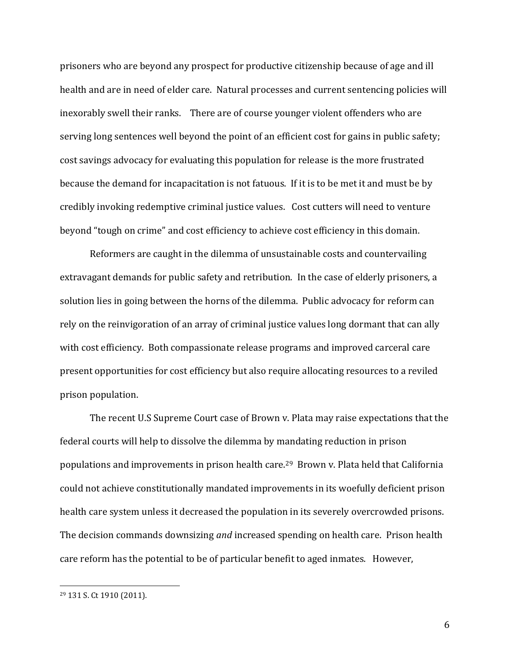prisoners who are beyond any prospect for productive citizenship because of age and ill health and are in need of elder care. Natural processes and current sentencing policies will inexorably swell their ranks. There are of course younger violent offenders who are serving long sentences well beyond the point of an efficient cost for gains in public safety; cost savings advocacy for evaluating this population for release is the more frustrated because the demand for incapacitation is not fatuous. If it is to be met it and must be by credibly invoking redemptive criminal justice values. Cost cutters will need to venture beyond "tough on crime" and cost efficiency to achieve cost efficiency in this domain.

Reformers are caught in the dilemma of unsustainable costs and countervailing extravagant demands for public safety and retribution. In the case of elderly prisoners, a solution lies in going between the horns of the dilemma. Public advocacy for reform can rely on the reinvigoration of an array of criminal justice values long dormant that can ally with cost efficiency. Both compassionate release programs and improved carceral care present opportunities for cost efficiency but also require allocating resources to a reviled prison population.

The recent U.S Supreme Court case of Brown v. Plata may raise expectations that the federal courts will help to dissolve the dilemma by mandating reduction in prison populations and improvements in prison health care.29 Brown v. Plata held that California could not achieve constitutionally mandated improvements in its woefully deficient prison health care system unless it decreased the population in its severely overcrowded prisons. The decision commands downsizing *and* increased spending on health care. Prison health care reform has the potential to be of particular benefit to aged inmates. However,

l

<sup>29</sup> 131 S. Ct 1910 (2011).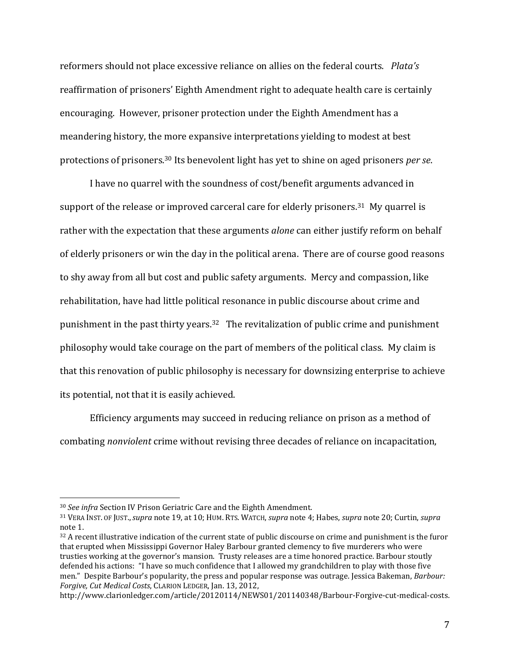reformers should not place excessive reliance on allies on the federal courts. *Plata's* reaffirmation of prisoners' Eighth Amendment right to adequate health care is certainly encouraging. However, prisoner protection under the Eighth Amendment has a meandering history, the more expansive interpretations yielding to modest at best protections of prisoners.<sup>30</sup> Its benevolent light has yet to shine on aged prisoners *per se*.

I have no quarrel with the soundness of cost/benefit arguments advanced in support of the release or improved carceral care for elderly prisoners.<sup>31</sup> My quarrel is rather with the expectation that these arguments *alone* can either justify reform on behalf of elderly prisoners or win the day in the political arena. There are of course good reasons to shy away from all but cost and public safety arguments. Mercy and compassion, like rehabilitation, have had little political resonance in public discourse about crime and punishment in the past thirty years.32 The revitalization of public crime and punishment philosophy would take courage on the part of members of the political class. My claim is that this renovation of public philosophy is necessary for downsizing enterprise to achieve its potential, not that it is easily achieved.

Efficiency arguments may succeed in reducing reliance on prison as a method of combating *nonviolent* crime without revising three decades of reliance on incapacitation,

<sup>30</sup> *See infra* Section IV Prison Geriatric Care and the Eighth Amendment.

<sup>31</sup> VERA INST. OF JUST.,*supra* note 19, at 10; HUM. RTS. WATCH, *supra* note 4; Habes, *supra* note 20; Curtin, *supra* note 1.

 $32$  A recent illustrative indication of the current state of public discourse on crime and punishment is the furor that erupted when Mississippi Governor Haley Barbour granted clemency to five murderers who were trusties working at the governor's mansion. Trusty releases are a time honored practice. Barbour stoutly defended his actions: "I have so much confidence that I allowed my grandchildren to play with those five men." Despite Barbour's popularity, the press and popular response was outrage. Jessica Bakeman, *Barbour: Forgive, Cut Medical Costs*, CLARION LEDGER, Jan. 13, 2012,

http://www.clarionledger.com/article/20120114/NEWS01/201140348/Barbour-Forgive-cut-medical-costs.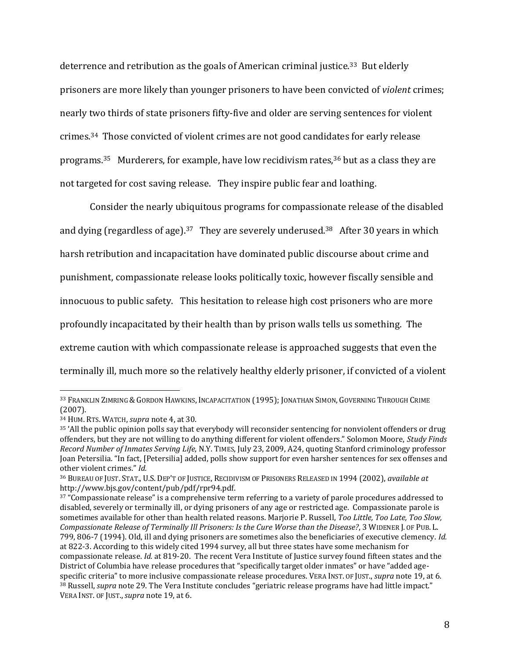deterrence and retribution as the goals of American criminal justice.33 But elderly prisoners are more likely than younger prisoners to have been convicted of *violent* crimes; nearly two thirds of state prisoners fifty-five and older are serving sentences for violent crimes.34 Those convicted of violent crimes are not good candidates for early release programs.35 Murderers, for example, have low recidivism rates,<sup>36</sup> but as a class they are not targeted for cost saving release. They inspire public fear and loathing.

Consider the nearly ubiquitous programs for compassionate release of the disabled and dying (regardless of age).<sup>37</sup> They are severely underused.<sup>38</sup> After 30 years in which harsh retribution and incapacitation have dominated public discourse about crime and punishment, compassionate release looks politically toxic, however fiscally sensible and innocuous to public safety. This hesitation to release high cost prisoners who are more profoundly incapacitated by their health than by prison walls tells us something. The extreme caution with which compassionate release is approached suggests that even the terminally ill, much more so the relatively healthy elderly prisoner, if convicted of a violent

<sup>33</sup> FRANKLIN ZIMRING & GORDON HAWKINS, INCAPACITATION (1995); JONATHAN SIMON, GOVERNING THROUGH CRIME (2007).

<sup>34</sup> HUM. RTS. WATCH, *supra* note 4, at 30.

<sup>35</sup> 'All the public opinion polls say that everybody will reconsider sentencing for nonviolent offenders or drug offenders, but they are not willing to do anything different for violent offenders." Solomon Moore, *Study Finds Record Number of Inmates Serving Life*, N.Y. TIMES, July 23, 2009, A24, quoting Stanford criminology professor Joan Petersilia. "In fact, [Petersilia] added, polls show support for even harsher sentences for sex offenses and other violent crimes." *Id.*

<sup>36</sup> BUREAU OF JUST. STAT., U.S. DEP'T OF JUSTICE, RECIDIVISM OF PRISONERS RELEASED IN 1994 (2002), *available at* http://www.bjs.gov/content/pub/pdf/rpr94.pdf.

<sup>&</sup>lt;sup>37</sup> "Compassionate release" is a comprehensive term referring to a variety of parole procedures addressed to disabled, severely or terminally ill, or dying prisoners of any age or restricted age. Compassionate parole is sometimes available for other than health related reasons. Marjorie P. Russell, *Too Little, Too Late, Too Slow, Compassionate Release of Terminally Ill Prisoners: Is the Cure Worse than the Disease?*, 3 WIDENER J. OF PUB. L. 799, 806-7 (1994). Old, ill and dying prisoners are sometimes also the beneficiaries of executive clemency. *Id.* at 822-3. According to this widely cited 1994 survey, all but three states have some mechanism for compassionate release. *Id.* at 819-20. The recent Vera Institute of Justice survey found fifteen states and the District of Columbia have release procedures that "specifically target older inmates" or have "added agespecific criteria" to more inclusive compassionate release procedures. VERA INST. OF JUST., *supra* note 19, at 6. <sup>38</sup> Russell, *supra* note 29. The Vera Institute concludes "geriatric release programs have had little impact." VERA INST. OF JUST.,*supra* note 19, at 6.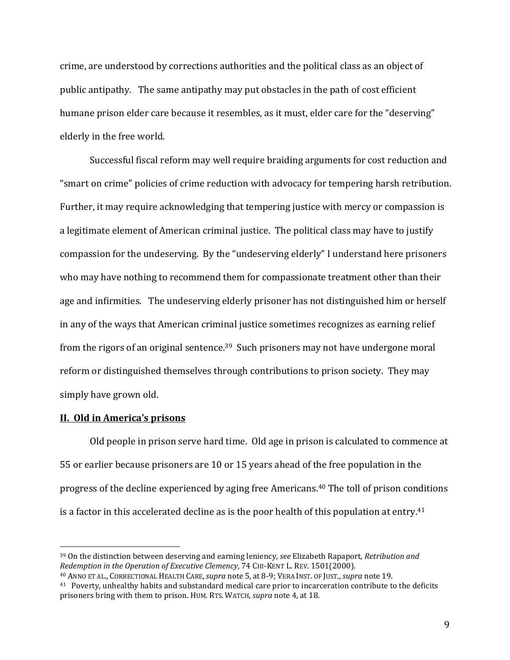crime, are understood by corrections authorities and the political class as an object of public antipathy. The same antipathy may put obstacles in the path of cost efficient humane prison elder care because it resembles, as it must, elder care for the "deserving" elderly in the free world.

Successful fiscal reform may well require braiding arguments for cost reduction and "smart on crime" policies of crime reduction with advocacy for tempering harsh retribution. Further, it may require acknowledging that tempering justice with mercy or compassion is a legitimate element of American criminal justice. The political class may have to justify compassion for the undeserving. By the "undeserving elderly" I understand here prisoners who may have nothing to recommend them for compassionate treatment other than their age and infirmities. The undeserving elderly prisoner has not distinguished him or herself in any of the ways that American criminal justice sometimes recognizes as earning relief from the rigors of an original sentence.<sup>39</sup> Such prisoners may not have undergone moral reform or distinguished themselves through contributions to prison society. They may simply have grown old.

#### **II. Old in America's prisons**

l

Old people in prison serve hard time. Old age in prison is calculated to commence at 55 or earlier because prisoners are 10 or 15 years ahead of the free population in the progress of the decline experienced by aging free Americans.<sup>40</sup> The toll of prison conditions is a factor in this accelerated decline as is the poor health of this population at entry.<sup>41</sup>

<sup>39</sup> On the distinction between deserving and earning leniency, *see* Elizabeth Rapaport, *Retribution and Redemption in the Operation of Executive Clemency*, 74 CHI-KENT L. REV. 1501(2000).

<sup>40</sup> ANNO ET AL., CORRECTIONAL HEALTH CARE,*supra* note 5, at 8-9; VERA INST. OF JUST., *supra* note 19.

<sup>41</sup> Poverty, unhealthy habits and substandard medical care prior to incarceration contribute to the deficits prisoners bring with them to prison. HUM. RTS. WATCH, *supra* note 4, at 18.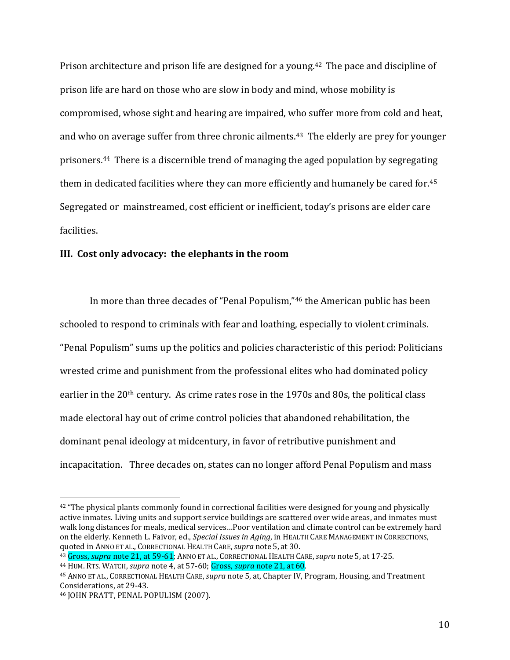Prison architecture and prison life are designed for a young.<sup>42</sup> The pace and discipline of prison life are hard on those who are slow in body and mind, whose mobility is compromised, whose sight and hearing are impaired, who suffer more from cold and heat, and who on average suffer from three chronic ailments.<sup>43</sup> The elderly are prey for younger prisoners.44 There is a discernible trend of managing the aged population by segregating them in dedicated facilities where they can more efficiently and humanely be cared for.<sup>45</sup> Segregated or mainstreamed, cost efficient or inefficient, today's prisons are elder care facilities.

#### **III. Cost only advocacy: the elephants in the room**

In more than three decades of "Penal Populism,"<sup>46</sup> the American public has been schooled to respond to criminals with fear and loathing, especially to violent criminals. "Penal Populism" sums up the politics and policies characteristic of this period: Politicians wrested crime and punishment from the professional elites who had dominated policy earlier in the 20<sup>th</sup> century. As crime rates rose in the 1970s and 80s, the political class made electoral hay out of crime control policies that abandoned rehabilitation, the dominant penal ideology at midcentury, in favor of retributive punishment and incapacitation. Three decades on, states can no longer afford Penal Populism and mass

 $42$  "The physical plants commonly found in correctional facilities were designed for young and physically active inmates. Living units and support service buildings are scattered over wide areas, and inmates must walk long distances for meals, medical services…Poor ventilation and climate control can be extremely hard on the elderly. Kenneth L. Faivor, ed., *Special Issues in Aging*, in HEALTH CARE MANAGEMENT IN CORRECTIONS, quoted in ANNO ET AL., CORRECTIONAL HEALTH CARE,*supra* note 5, at 30.

<sup>43</sup> Gross, *supra* note 21, at 59-61; ANNO ET AL., CORRECTIONAL HEALTH CARE,*supra* note 5, at 17-25.

<sup>44</sup> HUM. RTS. WATCH, *supra* note 4, at 57-60; Gross, *supra* note 21, at 60.

<sup>45</sup> ANNO ET AL., CORRECTIONAL HEALTH CARE,*supra* note 5, at, Chapter IV, Program, Housing, and Treatment Considerations, at 29-43.

<sup>46</sup> JOHN PRATT, PENAL POPULISM (2007).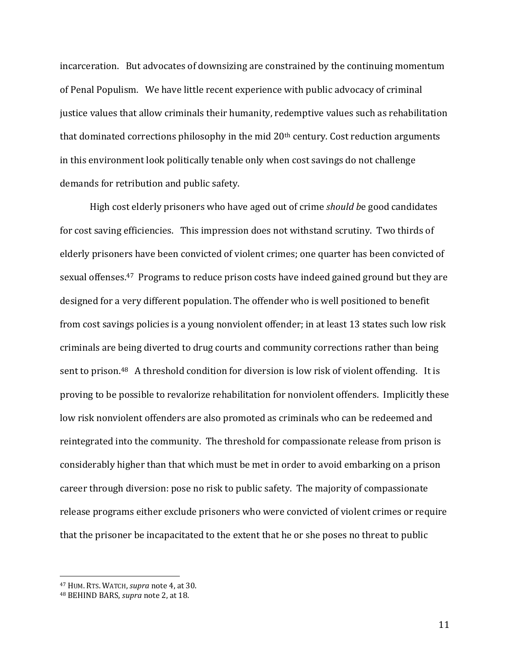incarceration. But advocates of downsizing are constrained by the continuing momentum of Penal Populism. We have little recent experience with public advocacy of criminal justice values that allow criminals their humanity, redemptive values such as rehabilitation that dominated corrections philosophy in the mid  $20<sup>th</sup>$  century. Cost reduction arguments in this environment look politically tenable only when cost savings do not challenge demands for retribution and public safety.

High cost elderly prisoners who have aged out of crime *should b*e good candidates for cost saving efficiencies. This impression does not withstand scrutiny. Two thirds of elderly prisoners have been convicted of violent crimes; one quarter has been convicted of sexual offenses.47 Programs to reduce prison costs have indeed gained ground but they are designed for a very different population. The offender who is well positioned to benefit from cost savings policies is a young nonviolent offender; in at least 13 states such low risk criminals are being diverted to drug courts and community corrections rather than being sent to prison.<sup>48</sup> A threshold condition for diversion is low risk of violent offending. It is proving to be possible to revalorize rehabilitation for nonviolent offenders. Implicitly these low risk nonviolent offenders are also promoted as criminals who can be redeemed and reintegrated into the community. The threshold for compassionate release from prison is considerably higher than that which must be met in order to avoid embarking on a prison career through diversion: pose no risk to public safety. The majority of compassionate release programs either exclude prisoners who were convicted of violent crimes or require that the prisoner be incapacitated to the extent that he or she poses no threat to public

 $\overline{a}$ 

<sup>47</sup> HUM. RTS. WATCH, *supra* note 4, at 30.

<sup>48</sup> BEHIND BARS, *supra* note 2, at 18.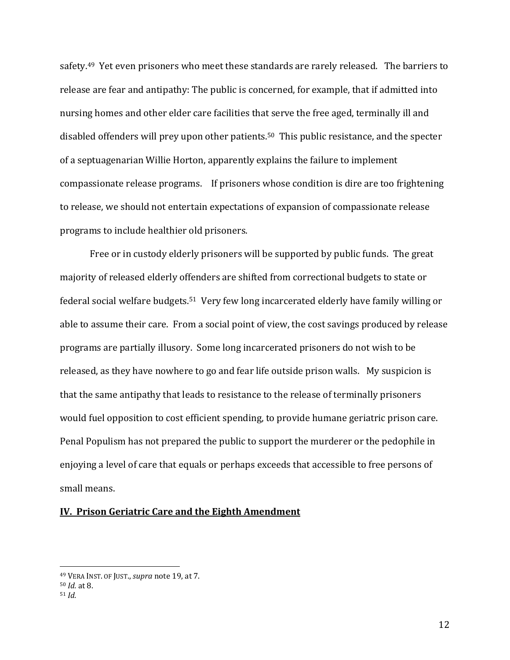safety.<sup>49</sup> Yet even prisoners who meet these standards are rarely released. The barriers to release are fear and antipathy: The public is concerned, for example, that if admitted into nursing homes and other elder care facilities that serve the free aged, terminally ill and disabled offenders will prey upon other patients.50 This public resistance, and the specter of a septuagenarian Willie Horton, apparently explains the failure to implement compassionate release programs. If prisoners whose condition is dire are too frightening to release, we should not entertain expectations of expansion of compassionate release programs to include healthier old prisoners.

Free or in custody elderly prisoners will be supported by public funds. The great majority of released elderly offenders are shifted from correctional budgets to state or federal social welfare budgets.51 Very few long incarcerated elderly have family willing or able to assume their care. From a social point of view, the cost savings produced by release programs are partially illusory. Some long incarcerated prisoners do not wish to be released, as they have nowhere to go and fear life outside prison walls. My suspicion is that the same antipathy that leads to resistance to the release of terminally prisoners would fuel opposition to cost efficient spending, to provide humane geriatric prison care. Penal Populism has not prepared the public to support the murderer or the pedophile in enjoying a level of care that equals or perhaps exceeds that accessible to free persons of small means.

### **IV. Prison Geriatric Care and the Eighth Amendment**

<sup>49</sup> VERA INST. OF JUST., *supra* note 19, at 7.

<sup>50</sup> *Id.* at 8.

<sup>51</sup> *Id.*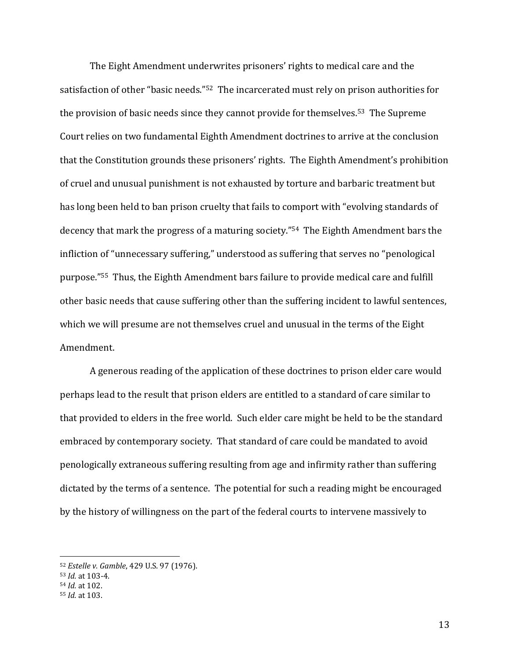The Eight Amendment underwrites prisoners' rights to medical care and the satisfaction of other "basic needs."52 The incarcerated must rely on prison authorities for the provision of basic needs since they cannot provide for themselves.53 The Supreme Court relies on two fundamental Eighth Amendment doctrines to arrive at the conclusion that the Constitution grounds these prisoners' rights. The Eighth Amendment's prohibition of cruel and unusual punishment is not exhausted by torture and barbaric treatment but has long been held to ban prison cruelty that fails to comport with "evolving standards of decency that mark the progress of a maturing society."54 The Eighth Amendment bars the infliction of "unnecessary suffering," understood as suffering that serves no "penological purpose."55 Thus, the Eighth Amendment bars failure to provide medical care and fulfill other basic needs that cause suffering other than the suffering incident to lawful sentences, which we will presume are not themselves cruel and unusual in the terms of the Eight Amendment.

A generous reading of the application of these doctrines to prison elder care would perhaps lead to the result that prison elders are entitled to a standard of care similar to that provided to elders in the free world. Such elder care might be held to be the standard embraced by contemporary society. That standard of care could be mandated to avoid penologically extraneous suffering resulting from age and infirmity rather than suffering dictated by the terms of a sentence. The potential for such a reading might be encouraged by the history of willingness on the part of the federal courts to intervene massively to

 $\overline{a}$ 

<sup>52</sup> *Estelle v. Gamble*, 429 U.S. 97 (1976).

<sup>53</sup> *Id.* at 103-4.

<sup>54</sup> *Id.* at 102.

<sup>55</sup> *Id.* at 103.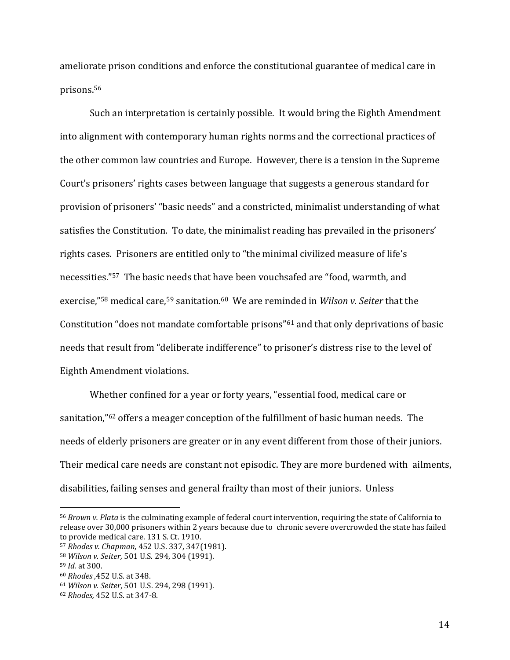ameliorate prison conditions and enforce the constitutional guarantee of medical care in prisons.<sup>56</sup>

Such an interpretation is certainly possible. It would bring the Eighth Amendment into alignment with contemporary human rights norms and the correctional practices of the other common law countries and Europe. However, there is a tension in the Supreme Court's prisoners' rights cases between language that suggests a generous standard for provision of prisoners' "basic needs" and a constricted, minimalist understanding of what satisfies the Constitution. To date, the minimalist reading has prevailed in the prisoners' rights cases. Prisoners are entitled only to "the minimal civilized measure of life's necessities."<sup>57</sup> The basic needs that have been vouchsafed are "food, warmth, and exercise,"<sup>58</sup> medical care,<sup>59</sup> sanitation.60 We are reminded in *Wilson v. Seiter* that the Constitution "does not mandate comfortable prisons"<sup>61</sup> and that only deprivations of basic needs that result from "deliberate indifference" to prisoner's distress rise to the level of Eighth Amendment violations.

Whether confined for a year or forty years, "essential food, medical care or sanitation,"<sup>62</sup> offers a meager conception of the fulfillment of basic human needs. The needs of elderly prisoners are greater or in any event different from those of their juniors. Their medical care needs are constant not episodic. They are more burdened with ailments, disabilities, failing senses and general frailty than most of their juniors. Unless

<sup>56</sup> *Brown v. Plata* is the culminating example of federal court intervention, requiring the state of California to release over 30,000 prisoners within 2 years because due to chronic severe overcrowded the state has failed to provide medical care. 131 S. Ct. 1910.

<sup>57</sup> *Rhodes v. Chapman*, 452 U.S. 337, 347(1981).

<sup>58</sup> *Wilson v. Seiter,* 501 U.S. 294, 304 (1991).

<sup>59</sup> *Id.* at 300.

<sup>60</sup> *Rhodes ,*452 U.S. at 348.

<sup>61</sup> *Wilson v. Seiter*, 501 U.S. 294, 298 (1991).

<sup>62</sup> *Rhodes,* 452 U.S. at 347-8.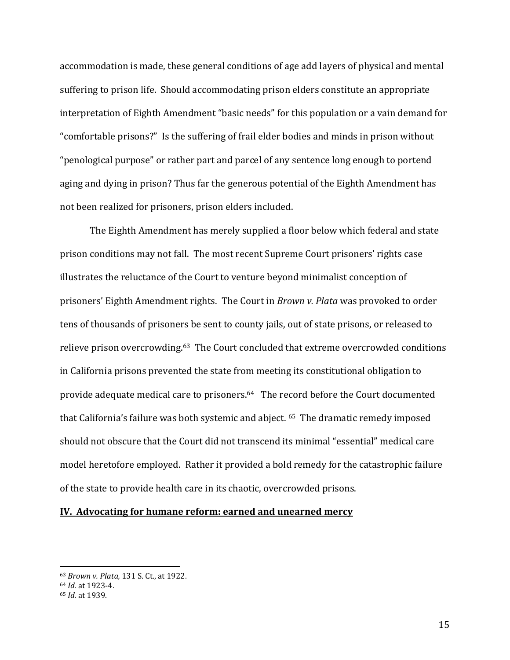accommodation is made, these general conditions of age add layers of physical and mental suffering to prison life. Should accommodating prison elders constitute an appropriate interpretation of Eighth Amendment "basic needs" for this population or a vain demand for "comfortable prisons?" Is the suffering of frail elder bodies and minds in prison without "penological purpose" or rather part and parcel of any sentence long enough to portend aging and dying in prison? Thus far the generous potential of the Eighth Amendment has not been realized for prisoners, prison elders included.

The Eighth Amendment has merely supplied a floor below which federal and state prison conditions may not fall. The most recent Supreme Court prisoners' rights case illustrates the reluctance of the Court to venture beyond minimalist conception of prisoners' Eighth Amendment rights. The Court in *Brown v. Plata* was provoked to order tens of thousands of prisoners be sent to county jails, out of state prisons, or released to relieve prison overcrowding.<sup>63</sup> The Court concluded that extreme overcrowded conditions in California prisons prevented the state from meeting its constitutional obligation to provide adequate medical care to prisoners.64 The record before the Court documented that California's failure was both systemic and abject. 65 The dramatic remedy imposed should not obscure that the Court did not transcend its minimal "essential" medical care model heretofore employed. Rather it provided a bold remedy for the catastrophic failure of the state to provide health care in its chaotic, overcrowded prisons.

### **IV. Advocating for humane reform: earned and unearned mercy**

<sup>63</sup> *Brown v. Plata,* 131 S. Ct., at 1922.

<sup>64</sup> *Id.* at 1923-4.

<sup>65</sup> *Id.* at 1939.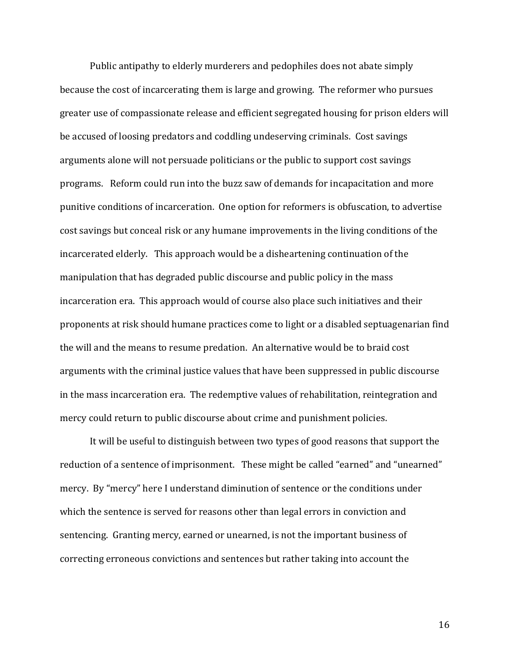Public antipathy to elderly murderers and pedophiles does not abate simply because the cost of incarcerating them is large and growing. The reformer who pursues greater use of compassionate release and efficient segregated housing for prison elders will be accused of loosing predators and coddling undeserving criminals. Cost savings arguments alone will not persuade politicians or the public to support cost savings programs. Reform could run into the buzz saw of demands for incapacitation and more punitive conditions of incarceration. One option for reformers is obfuscation, to advertise cost savings but conceal risk or any humane improvements in the living conditions of the incarcerated elderly. This approach would be a disheartening continuation of the manipulation that has degraded public discourse and public policy in the mass incarceration era. This approach would of course also place such initiatives and their proponents at risk should humane practices come to light or a disabled septuagenarian find the will and the means to resume predation. An alternative would be to braid cost arguments with the criminal justice values that have been suppressed in public discourse in the mass incarceration era. The redemptive values of rehabilitation, reintegration and mercy could return to public discourse about crime and punishment policies.

It will be useful to distinguish between two types of good reasons that support the reduction of a sentence of imprisonment. These might be called "earned" and "unearned" mercy. By "mercy" here I understand diminution of sentence or the conditions under which the sentence is served for reasons other than legal errors in conviction and sentencing. Granting mercy, earned or unearned, is not the important business of correcting erroneous convictions and sentences but rather taking into account the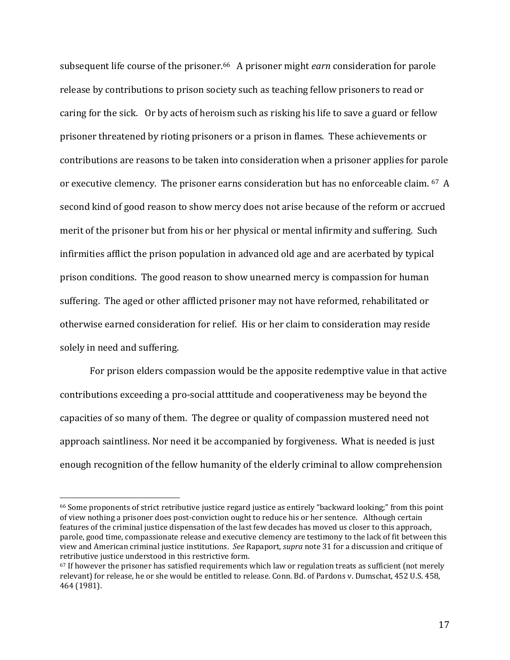subsequent life course of the prisoner.66 A prisoner might *earn* consideration for parole release by contributions to prison society such as teaching fellow prisoners to read or caring for the sick. Or by acts of heroism such as risking his life to save a guard or fellow prisoner threatened by rioting prisoners or a prison in flames. These achievements or contributions are reasons to be taken into consideration when a prisoner applies for parole or executive clemency. The prisoner earns consideration but has no enforceable claim. <sup>67</sup> A second kind of good reason to show mercy does not arise because of the reform or accrued merit of the prisoner but from his or her physical or mental infirmity and suffering. Such infirmities afflict the prison population in advanced old age and are acerbated by typical prison conditions. The good reason to show unearned mercy is compassion for human suffering. The aged or other afflicted prisoner may not have reformed, rehabilitated or otherwise earned consideration for relief. His or her claim to consideration may reside solely in need and suffering.

For prison elders compassion would be the apposite redemptive value in that active contributions exceeding a pro-social atttitude and cooperativeness may be beyond the capacities of so many of them. The degree or quality of compassion mustered need not approach saintliness. Nor need it be accompanied by forgiveness. What is needed is just enough recognition of the fellow humanity of the elderly criminal to allow comprehension

<sup>66</sup> Some proponents of strict retributive justice regard justice as entirely "backward looking;" from this point of view nothing a prisoner does post-conviction ought to reduce his or her sentence. Although certain features of the criminal justice dispensation of the last few decades has moved us closer to this approach, parole, good time, compassionate release and executive clemency are testimony to the lack of fit between this view and American criminal justice institutions. *See* Rapaport, *supra* note 31 for a discussion and critique of retributive justice understood in this restrictive form.

<sup>67</sup> If however the prisoner has satisfied requirements which law or regulation treats as sufficient (not merely relevant) for release, he or she would be entitled to release. Conn. Bd. of Pardons v. Dumschat, 452 U.S. 458, 464 (1981).